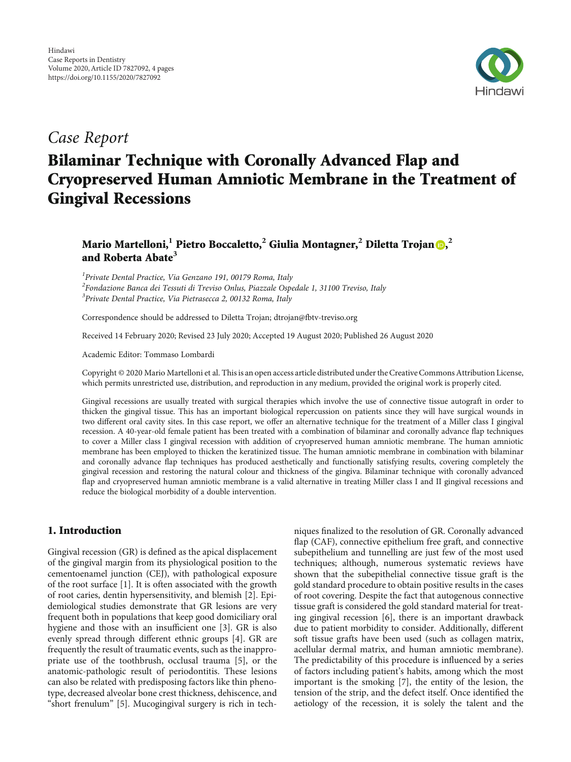

## Case Report

# Bilaminar Technique with Coronally Advanced Flap and Cryopreserved Human Amniotic Membrane in the Treatment of Gingival Recessions

### Mario Martelloni[,](https://orcid.org/0000-0002-9003-9421)<sup>1</sup> Pietro Boccaletto,<sup>2</sup> Giulia Montagner,<sup>2</sup> Diletta Trojan <mark>®</mark>,<sup>2</sup> and Roberta Abate**<sup>3</sup>**

<sup>1</sup> Private Dental Practice, Via Genzano 191, 00179 Roma, Italy <sup>2</sup>Fondazione Banca dei Tessuti di Treviso Onlus, Piazzale Ospedale 1, 31100 Treviso, Italy <sup>3</sup> Private Dental Practice, Via Pietrasecca 2, 00132 Roma, Italy

Correspondence should be addressed to Diletta Trojan; dtrojan@fbtv-treviso.org

Received 14 February 2020; Revised 23 July 2020; Accepted 19 August 2020; Published 26 August 2020

Academic Editor: Tommaso Lombardi

Copyright © 2020 Mario Martelloni et al. This is an open access article distributed under the [Creative Commons Attribution License](https://creativecommons.org/licenses/by/4.0/), which permits unrestricted use, distribution, and reproduction in any medium, provided the original work is properly cited.

Gingival recessions are usually treated with surgical therapies which involve the use of connective tissue autograft in order to thicken the gingival tissue. This has an important biological repercussion on patients since they will have surgical wounds in two different oral cavity sites. In this case report, we offer an alternative technique for the treatment of a Miller class I gingival recession. A 40-year-old female patient has been treated with a combination of bilaminar and coronally advance flap techniques to cover a Miller class I gingival recession with addition of cryopreserved human amniotic membrane. The human amniotic membrane has been employed to thicken the keratinized tissue. The human amniotic membrane in combination with bilaminar and coronally advance flap techniques has produced aesthetically and functionally satisfying results, covering completely the gingival recession and restoring the natural colour and thickness of the gingiva. Bilaminar technique with coronally advanced flap and cryopreserved human amniotic membrane is a valid alternative in treating Miller class I and II gingival recessions and reduce the biological morbidity of a double intervention.

#### 1. Introduction

Gingival recession (GR) is defined as the apical displacement of the gingival margin from its physiological position to the cementoenamel junction (CEJ), with pathological exposure of the root surface [[1](#page-2-0)]. It is often associated with the growth of root caries, dentin hypersensitivity, and blemish [[2](#page-2-0)]. Epidemiological studies demonstrate that GR lesions are very frequent both in populations that keep good domiciliary oral hygiene and those with an insufficient one [[3\]](#page-2-0). GR is also evenly spread through different ethnic groups [\[4\]](#page-2-0). GR are frequently the result of traumatic events, such as the inappropriate use of the toothbrush, occlusal trauma [[5\]](#page-2-0), or the anatomic-pathologic result of periodontitis. These lesions can also be related with predisposing factors like thin phenotype, decreased alveolar bone crest thickness, dehiscence, and "short frenulum" [\[5\]](#page-2-0). Mucogingival surgery is rich in tech-

niques finalized to the resolution of GR. Coronally advanced flap (CAF), connective epithelium free graft, and connective subepithelium and tunnelling are just few of the most used techniques; although, numerous systematic reviews have shown that the subepithelial connective tissue graft is the gold standard procedure to obtain positive results in the cases of root covering. Despite the fact that autogenous connective tissue graft is considered the gold standard material for treating gingival recession [[6](#page-2-0)], there is an important drawback due to patient morbidity to consider. Additionally, different soft tissue grafts have been used (such as collagen matrix, acellular dermal matrix, and human amniotic membrane). The predictability of this procedure is influenced by a series of factors including patient's habits, among which the most important is the smoking [[7\]](#page-2-0), the entity of the lesion, the tension of the strip, and the defect itself. Once identified the aetiology of the recession, it is solely the talent and the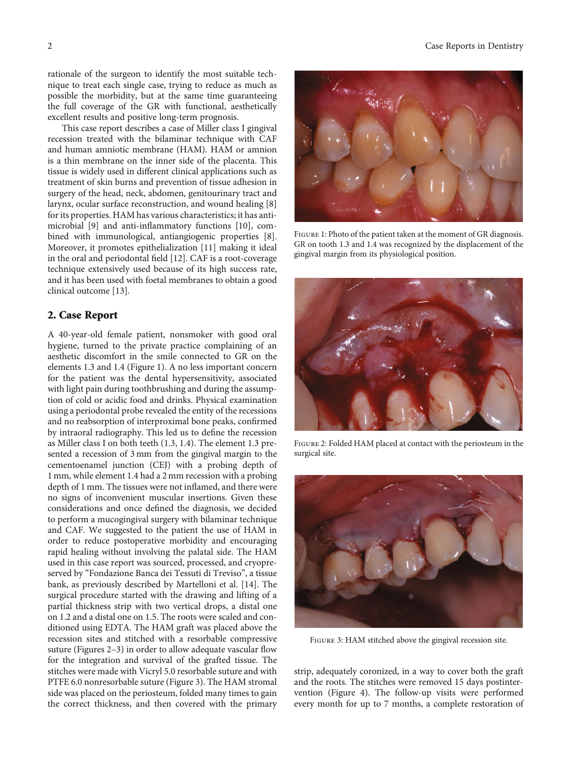rationale of the surgeon to identify the most suitable technique to treat each single case, trying to reduce as much as possible the morbidity, but at the same time guaranteeing the full coverage of the GR with functional, aesthetically excellent results and positive long-term prognosis.

This case report describes a case of Miller class I gingival recession treated with the bilaminar technique with CAF and human amniotic membrane (HAM). HAM or amnion is a thin membrane on the inner side of the placenta. This tissue is widely used in different clinical applications such as treatment of skin burns and prevention of tissue adhesion in surgery of the head, neck, abdomen, genitourinary tract and larynx, ocular surface reconstruction, and wound healing [[8\]](#page-2-0) for its properties. HAM has various characteristics; it has antimicrobial [[9\]](#page-2-0) and anti-inflammatory functions [[10](#page-2-0)], combined with immunological, antiangiogenic properties [[8](#page-2-0)]. Moreover, it promotes epithelialization [\[11\]](#page-3-0) making it ideal in the oral and periodontal field [\[12\]](#page-3-0). CAF is a root-coverage technique extensively used because of its high success rate, and it has been used with foetal membranes to obtain a good clinical outcome [\[13\]](#page-3-0).

#### 2. Case Report

A 40-year-old female patient, nonsmoker with good oral hygiene, turned to the private practice complaining of an aesthetic discomfort in the smile connected to GR on the elements 1.3 and 1.4 (Figure 1). A no less important concern for the patient was the dental hypersensitivity, associated with light pain during toothbrushing and during the assumption of cold or acidic food and drinks. Physical examination using a periodontal probe revealed the entity of the recessions and no reabsorption of interproximal bone peaks, confirmed by intraoral radiography. This led us to define the recession as Miller class I on both teeth (1.3, 1.4). The element 1.3 presented a recession of 3 mm from the gingival margin to the cementoenamel junction (CEJ) with a probing depth of 1 mm, while element 1.4 had a 2 mm recession with a probing depth of 1 mm. The tissues were not inflamed, and there were no signs of inconvenient muscular insertions. Given these considerations and once defined the diagnosis, we decided to perform a mucogingival surgery with bilaminar technique and CAF. We suggested to the patient the use of HAM in order to reduce postoperative morbidity and encouraging rapid healing without involving the palatal side. The HAM used in this case report was sourced, processed, and cryopreserved by "Fondazione Banca dei Tessuti di Treviso", a tissue bank, as previously described by Martelloni et al. [[14](#page-3-0)]. The surgical procedure started with the drawing and lifting of a partial thickness strip with two vertical drops, a distal one on 1.2 and a distal one on 1.5. The roots were scaled and conditioned using EDTA. The HAM graft was placed above the recession sites and stitched with a resorbable compressive suture (Figures 2–3) in order to allow adequate vascular flow for the integration and survival of the grafted tissue. The stitches were made with Vicryl 5.0 resorbable suture and with PTFE 6.0 nonresorbable suture (Figure 3). The HAM stromal side was placed on the periosteum, folded many times to gain the correct thickness, and then covered with the primary



FIGURE 1: Photo of the patient taken at the moment of GR diagnosis. GR on tooth 1.3 and 1.4 was recognized by the displacement of the gingival margin from its physiological position.



Figure 2: Folded HAM placed at contact with the periosteum in the surgical site.



Figure 3: HAM stitched above the gingival recession site.

strip, adequately coronized, in a way to cover both the graft and the roots. The stitches were removed 15 days postintervention (Figure [4](#page-2-0)). The follow-up visits were performed every month for up to 7 months, a complete restoration of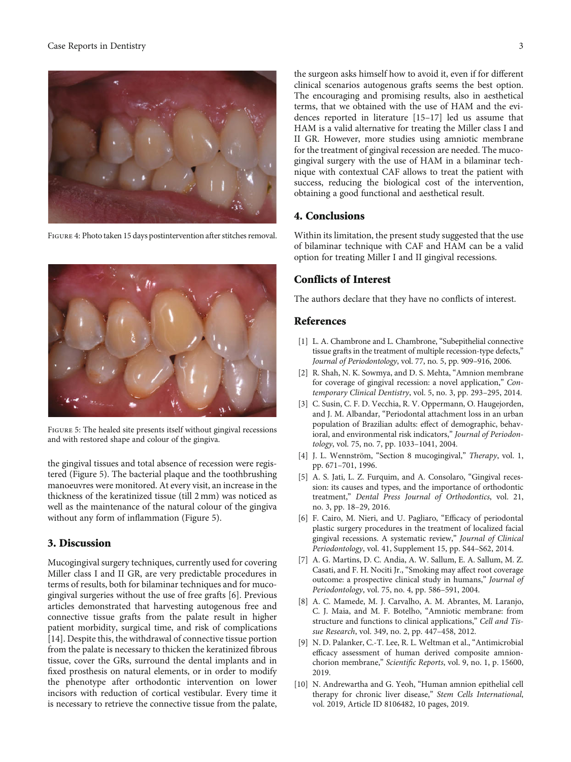#### <span id="page-2-0"></span>Case Reports in Dentistry 3



Figure 4: Photo taken 15 days postintervention after stitches removal.



Figure 5: The healed site presents itself without gingival recessions and with restored shape and colour of the gingiva.

the gingival tissues and total absence of recession were registered (Figure 5). The bacterial plaque and the toothbrushing manoeuvres were monitored. At every visit, an increase in the thickness of the keratinized tissue (till 2 mm) was noticed as well as the maintenance of the natural colour of the gingiva without any form of inflammation (Figure 5).

#### 3. Discussion

Mucogingival surgery techniques, currently used for covering Miller class I and II GR, are very predictable procedures in terms of results, both for bilaminar techniques and for mucogingival surgeries without the use of free grafts [6]. Previous articles demonstrated that harvesting autogenous free and connective tissue grafts from the palate result in higher patient morbidity, surgical time, and risk of complications [\[14](#page-3-0)]. Despite this, the withdrawal of connective tissue portion from the palate is necessary to thicken the keratinized fibrous tissue, cover the GRs, surround the dental implants and in fixed prosthesis on natural elements, or in order to modify the phenotype after orthodontic intervention on lower incisors with reduction of cortical vestibular. Every time it is necessary to retrieve the connective tissue from the palate, the surgeon asks himself how to avoid it, even if for different clinical scenarios autogenous grafts seems the best option. The encouraging and promising results, also in aesthetical terms, that we obtained with the use of HAM and the evidences reported in literature [\[15](#page-3-0)–[17](#page-3-0)] led us assume that HAM is a valid alternative for treating the Miller class I and II GR. However, more studies using amniotic membrane for the treatment of gingival recession are needed. The mucogingival surgery with the use of HAM in a bilaminar technique with contextual CAF allows to treat the patient with success, reducing the biological cost of the intervention, obtaining a good functional and aesthetical result.

#### 4. Conclusions

Within its limitation, the present study suggested that the use of bilaminar technique with CAF and HAM can be a valid option for treating Miller I and II gingival recessions.

#### Conflicts of Interest

The authors declare that they have no conflicts of interest.

#### References

- [1] L. A. Chambrone and L. Chambrone, "Subepithelial connective tissue grafts in the treatment of multiple recession-type defects," Journal of Periodontology, vol. 77, no. 5, pp. 909–916, 2006.
- [2] R. Shah, N. K. Sowmya, and D. S. Mehta, "Amnion membrane for coverage of gingival recession: a novel application," Contemporary Clinical Dentistry, vol. 5, no. 3, pp. 293–295, 2014.
- [3] C. Susin, C. F. D. Vecchia, R. V. Oppermann, O. Haugejorden, and J. M. Albandar, "Periodontal attachment loss in an urban population of Brazilian adults: effect of demographic, behavioral, and environmental risk indicators," Journal of Periodontology, vol. 75, no. 7, pp. 1033–1041, 2004.
- [4] J. L. Wennström, "Section 8 mucogingival," Therapy, vol. 1, pp. 671–701, 1996.
- [5] A. S. Jati, L. Z. Furquim, and A. Consolaro, "Gingival recession: its causes and types, and the importance of orthodontic treatment," Dental Press Journal of Orthodontics, vol. 21, no. 3, pp. 18–29, 2016.
- [6] F. Cairo, M. Nieri, and U. Pagliaro, "Efficacy of periodontal plastic surgery procedures in the treatment of localized facial gingival recessions. A systematic review," Journal of Clinical Periodontology, vol. 41, Supplement 15, pp. S44–S62, 2014.
- [7] A. G. Martins, D. C. Andia, A. W. Sallum, E. A. Sallum, M. Z. Casati, and F. H. Nociti Jr., "Smoking may affect root coverage outcome: a prospective clinical study in humans," Journal of Periodontology, vol. 75, no. 4, pp. 586–591, 2004.
- [8] A. C. Mamede, M. J. Carvalho, A. M. Abrantes, M. Laranjo, C. J. Maia, and M. F. Botelho, "Amniotic membrane: from structure and functions to clinical applications," Cell and Tissue Research, vol. 349, no. 2, pp. 447–458, 2012.
- [9] N. D. Palanker, C.-T. Lee, R. L. Weltman et al., "Antimicrobial efficacy assessment of human derived composite amnionchorion membrane," Scientific Reports, vol. 9, no. 1, p. 15600, 2019.
- [10] N. Andrewartha and G. Yeoh, "Human amnion epithelial cell therapy for chronic liver disease," Stem Cells International, vol. 2019, Article ID 8106482, 10 pages, 2019.